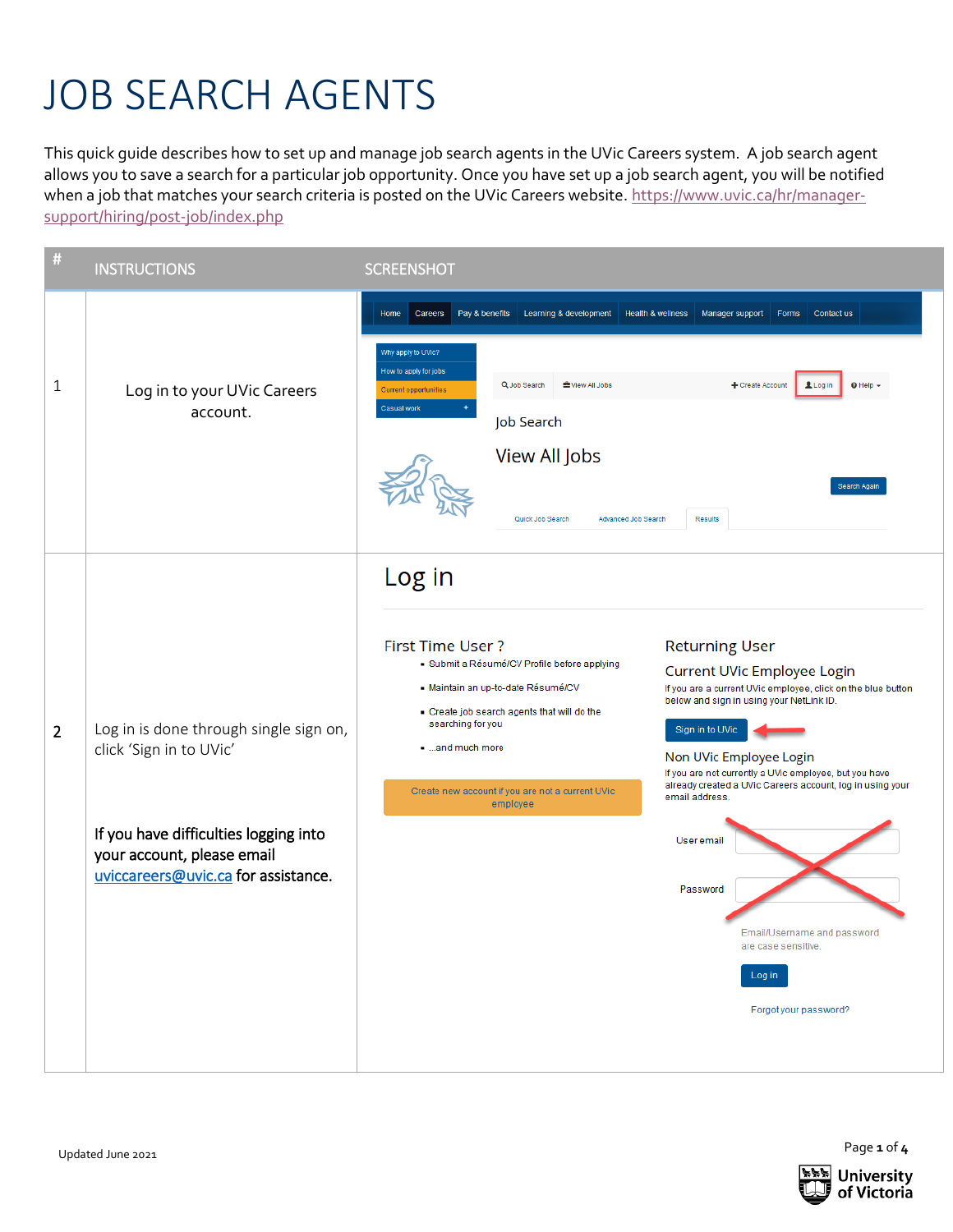## JOB SEARCH AGENTS

This quick guide describes how to set up and manage job search agents in the UVic Careers system. A job search agent allows you to save a search for a particular job opportunity. Once you have set up a job search agent, you will be notified when a job that matches your search criteria is posted on the UVic Careers website. [https://www.uvic.ca/hr/manager](https://www.uvic.ca/hr/manager-support/hiring/post-job/index.php)[support/hiring/post-job/index.php](https://www.uvic.ca/hr/manager-support/hiring/post-job/index.php)

| #              | <b>INSTRUCTIONS</b>                                                                                                                                                             | <b>SCREENSHOT</b>                                                                                                                                                                                                                                                                                                                                                                                                                                                                                                                                                                                                                                                                                                                                      |
|----------------|---------------------------------------------------------------------------------------------------------------------------------------------------------------------------------|--------------------------------------------------------------------------------------------------------------------------------------------------------------------------------------------------------------------------------------------------------------------------------------------------------------------------------------------------------------------------------------------------------------------------------------------------------------------------------------------------------------------------------------------------------------------------------------------------------------------------------------------------------------------------------------------------------------------------------------------------------|
| 1              | Log in to your UVic Careers<br>account.                                                                                                                                         | Careers<br>Pay & benefits<br>Learning & development<br>Health & wellness<br>Manager support<br>Forms<br>Contact us<br>Home<br>Why apply to UVic?<br>How to apply for jobs<br>Q Job Search<br><b>些</b> View All Jobs<br>+ Create Account<br>Log in<br>$\odot$ Help $\sim$<br><b>Current opportunities</b><br>Casual work<br>Job Search<br>View All Jobs<br>Search Again<br>Results<br>Quick Job Search<br>Advanced Job Search                                                                                                                                                                                                                                                                                                                           |
| $\overline{2}$ | Log in is done through single sign on,<br>click 'Sign in to UVic'<br>If you have difficulties logging into<br>your account, please email<br>uviccareers@uvic.ca for assistance. | Log in<br><b>First Time User?</b><br><b>Returning User</b><br>Submit a Résumé/CV Profile before applying<br>Current UVic Employee Login<br>- Maintain an up-to-date Résumé/CV<br>If you are a current UVic employee, click on the blue button<br>below and sign in using your NetLink ID.<br>Create job search agents that will do the<br>searching for you<br>Sign in to UVic<br>and much more<br>Non UVic Employee Login<br>If you are not currently a UVic employee, but you have<br>already created a UVic Careers account, log in using your<br>Create new account if you are not a current UVic<br>email address.<br>employee<br>User email<br>Password<br>Email/Username and password<br>are case sensitive.<br>Log in<br>Forgot your password? |

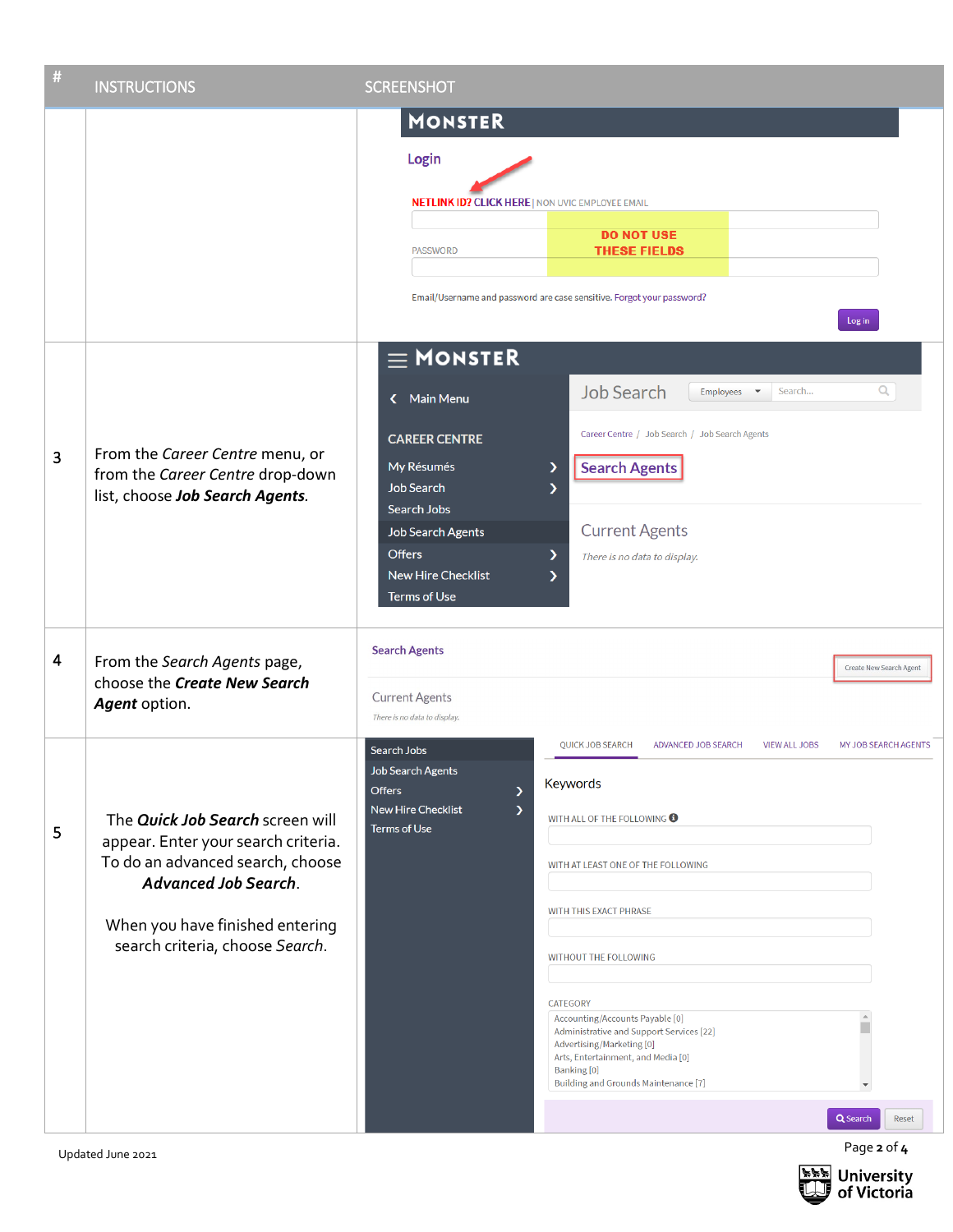| # | <b>INSTRUCTIONS</b>                                                                                                                                                                                              | <b>SCREENSHOT</b>                                                                                                                                                                                                                                                                                                                                                                                                                                                                                                                                                                                                        |
|---|------------------------------------------------------------------------------------------------------------------------------------------------------------------------------------------------------------------|--------------------------------------------------------------------------------------------------------------------------------------------------------------------------------------------------------------------------------------------------------------------------------------------------------------------------------------------------------------------------------------------------------------------------------------------------------------------------------------------------------------------------------------------------------------------------------------------------------------------------|
|   |                                                                                                                                                                                                                  | <b>MONSTER</b><br>Login<br><b>NETLINK ID? CLICK HERE   NON UVIC EMPLOYEE EMAIL</b><br><b>DO NOT USE</b><br><b>THESE FIELDS</b><br><b>PASSWORD</b><br>Email/Username and password are case sensitive. Forgot your password?                                                                                                                                                                                                                                                                                                                                                                                               |
| 3 | From the Career Centre menu, or<br>from the Career Centre drop-down<br>list, choose Job Search Agents.                                                                                                           | Log in<br>$\equiv$ MONSTER<br><b>Job Search</b><br>Q<br>Search<br>Employees $\blacktriangledown$<br>K Main Menu<br>Career Centre / Job Search / Job Search Agents<br><b>CAREER CENTRE</b><br><b>Search Agents</b><br>My Résumés<br>⋗<br><b>Job Search</b><br>እ<br>Search Jobs<br><b>Current Agents</b><br><b>Job Search Agents</b><br><b>Offers</b><br>$\mathcal Y$<br>There is no data to display.<br><b>New Hire Checklist</b><br>እ<br><b>Terms of Use</b>                                                                                                                                                             |
| 4 | From the Search Agents page,<br>choose the Create New Search<br>Agent option.                                                                                                                                    | <b>Search Agents</b><br>Create New Search Agent<br><b>Current Agents</b><br>There is no data to display.                                                                                                                                                                                                                                                                                                                                                                                                                                                                                                                 |
| 5 | The Quick Job Search screen will<br>appear. Enter your search criteria.<br>To do an advanced search, choose<br><b>Advanced Job Search.</b><br>When you have finished entering<br>search criteria, choose Search. | QUICK JOB SEARCH<br>ADVANCED JOB SEARCH<br><b>VIEW ALL JOBS</b><br>MY JOB SEARCH AGENTS<br>Search Jobs<br><b>Job Search Agents</b><br>Keywords<br><b>Offers</b><br>⋗<br><b>New Hire Checklist</b><br>$\mathcal Y$<br>WITH ALL OF THE FOLLOWING <b>O</b><br><b>Terms of Use</b><br>WITH AT LEAST ONE OF THE FOLLOWING<br>WITH THIS EXACT PHRASE<br>WITHOUT THE FOLLOWING<br>CATEGORY<br>Accounting/Accounts Payable [0]<br>Administrative and Support Services [22]<br>Advertising/Marketing [0]<br>Arts, Entertainment, and Media [0]<br>Banking [0]<br><b>Building and Grounds Maintenance [7]</b><br>Q Search<br>Reset |
|   | Updated June 2021                                                                                                                                                                                                | Page 2 of 4                                                                                                                                                                                                                                                                                                                                                                                                                                                                                                                                                                                                              |

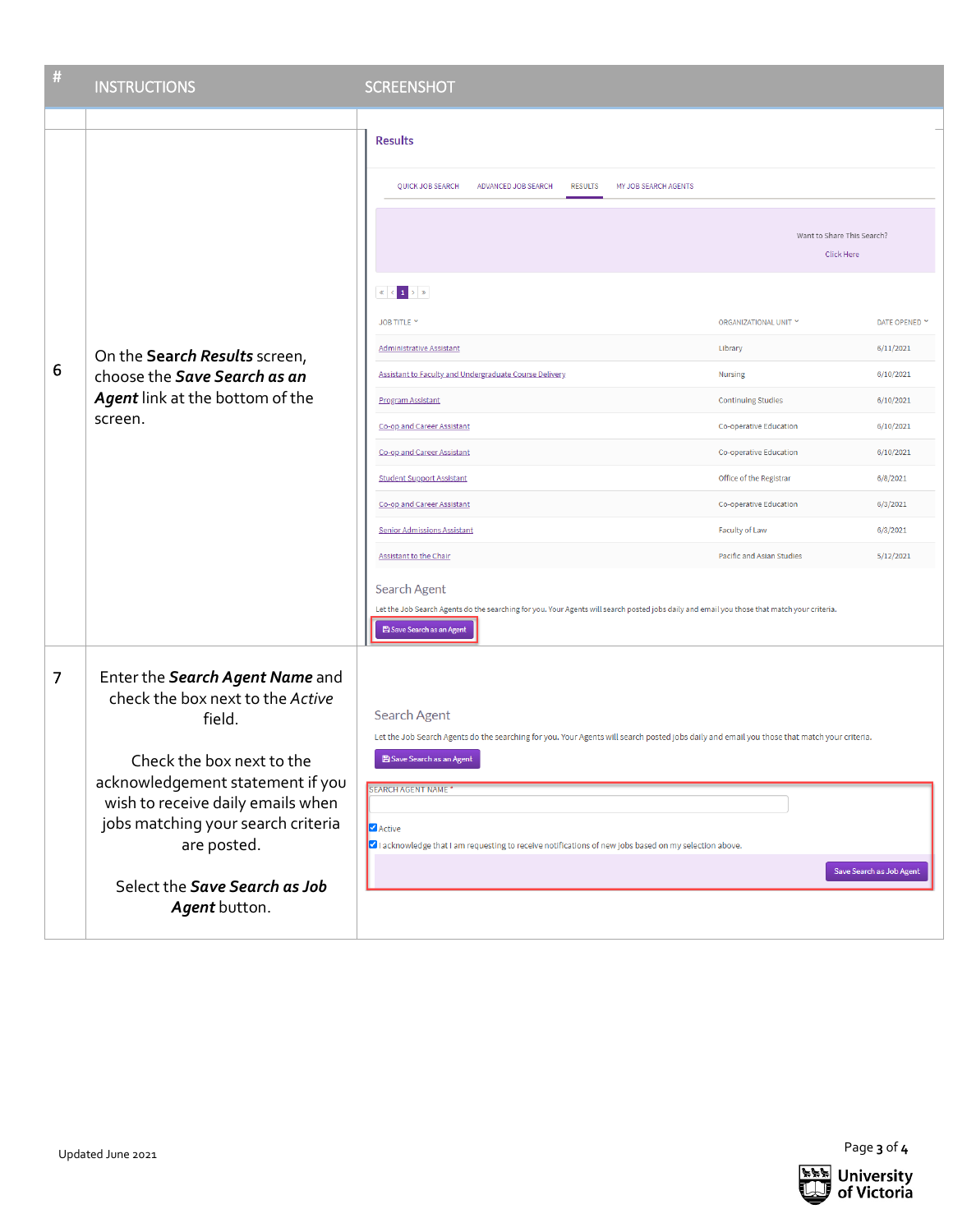| $\#$ | <b>INSTRUCTIONS</b>                                                                                                                                                                                                                                                                        | <b>SCREENSHOT</b>                                                                                                                                                                                                                                                                                                                                                                                                              |                                                                                                                                                                                   |                                                                                      |
|------|--------------------------------------------------------------------------------------------------------------------------------------------------------------------------------------------------------------------------------------------------------------------------------------------|--------------------------------------------------------------------------------------------------------------------------------------------------------------------------------------------------------------------------------------------------------------------------------------------------------------------------------------------------------------------------------------------------------------------------------|-----------------------------------------------------------------------------------------------------------------------------------------------------------------------------------|--------------------------------------------------------------------------------------|
|      |                                                                                                                                                                                                                                                                                            |                                                                                                                                                                                                                                                                                                                                                                                                                                |                                                                                                                                                                                   |                                                                                      |
| 6    | On the Search Results screen,<br>choose the Save Search as an<br>Agent link at the bottom of the<br>screen.                                                                                                                                                                                | <b>Results</b><br>QUICK JOB SEARCH<br>ADVANCED JOB SEARCH<br><b>RESULTS</b><br>MY JOB SEARCH AGENTS<br>$\  \mathbf{K} \  < \  \mathbf{1} \  > \  \mathbf{y} \ $<br>JOB TITLE Y<br><b>Administrative Assistant</b><br>Assistant to Faculty and Undergraduate Course Delivery                                                                                                                                                    | Want to Share This Search?<br><b>Click Here</b><br>ORGANIZATIONAL UNIT Y<br>Library<br>Nursing                                                                                    | DATE OPENED Y<br>6/11/2021<br>6/10/2021                                              |
|      |                                                                                                                                                                                                                                                                                            | <b>Program Assistant</b><br>Co-op and Career Assistant<br>Co-op and Career Assistant<br><b>Student Support Assistant</b><br><b>Co-op and Career Assistant</b><br><b>Senior Admissions Assistant</b><br><b>Assistant to the Chair</b><br>Search Agent<br>Let the Job Search Agents do the searching for you. Your Agents will search posted jobs daily and email you those that match your criteria.<br>Save Search as an Agent | <b>Continuing Studies</b><br>Co-operative Education<br>Co-operative Education<br>Office of the Registrar<br>Co-operative Education<br>Faculty of Law<br>Pacific and Asian Studies | 6/10/2021<br>6/10/2021<br>6/10/2021<br>6/8/2021<br>6/3/2021<br>6/3/2021<br>5/12/2021 |
| 7    | Enter the Search Agent Name and<br>check the box next to the Active<br>field.<br>Check the box next to the<br>acknowledgement statement if you<br>wish to receive daily emails when<br>jobs matching your search criteria<br>are posted.<br>Select the Save Search as Job<br>Agent button. | Search Agent<br>Let the Job Search Agents do the searching for you. Your Agents will search posted jobs daily and email you those that match your criteria.<br>Save Search as an Agent<br>SEARCH AGENT NAME<br><b>Active</b><br>I acknowledge that I am requesting to receive notifications of new jobs based on my selection above.<br>Save Search as Job Agent                                                               |                                                                                                                                                                                   |                                                                                      |